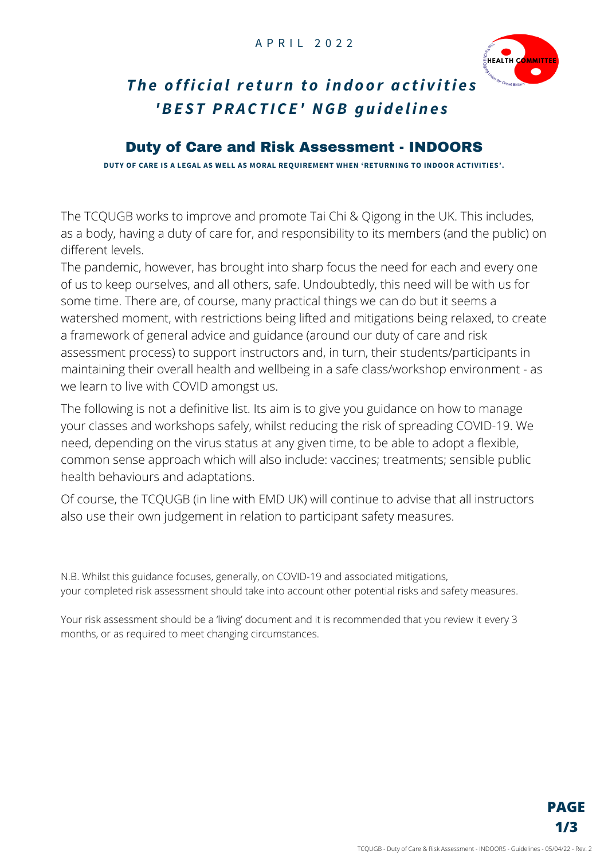

## The official return to indoor activities *'BE S T PRACT ICE ' NGB g u i d e l i n e s*

#### Duty of Care and Risk Assessment - INDOORS

**DUTY OF CARE IS A LEGAL AS WELL AS MORAL REQUIREMENT WHEN 'RETURNING TO INDOOR ACTIVITIES'.**

The TCQUGB works to improve and promote Tai Chi & Qigong in the UK. This includes, as a body, having a duty of care for, and responsibility to its members (and the public) on different levels.

The pandemic, however, has brought into sharp focus the need for each and every one of us to keep ourselves, and all others, safe. Undoubtedly, this need will be with us for some time. There are, of course, many practical things we can do but it seems a watershed moment, with restrictions being lifted and mitigations being relaxed, to create a framework of general advice and guidance (around our duty of care and risk assessment process) to support instructors and, in turn, their students/participants in maintaining their overall health and wellbeing in a safe class/workshop environment - as we learn to live with COVID amongst us.

The following is not a definitive list. Its aim is to give you guidance on how to manage your classes and workshops safely, whilst reducing the risk of spreading COVID-19. We need, depending on the virus status at any given time, to be able to adopt a flexible, common sense approach which will also include: vaccines; treatments; sensible public health behaviours and adaptations.

Of course, the TCQUGB (in line with EMD UK) will continue to advise that all instructors also use their own judgement in relation to participant safety measures.

N.B. Whilst this guidance focuses, generally, on COVID-19 and associated mitigations, your completed risk assessment should take into account other potential risks and safety measures.

Your risk assessment should be a 'living' document and it is recommended that you review it every 3 months, or as required to meet changing circumstances.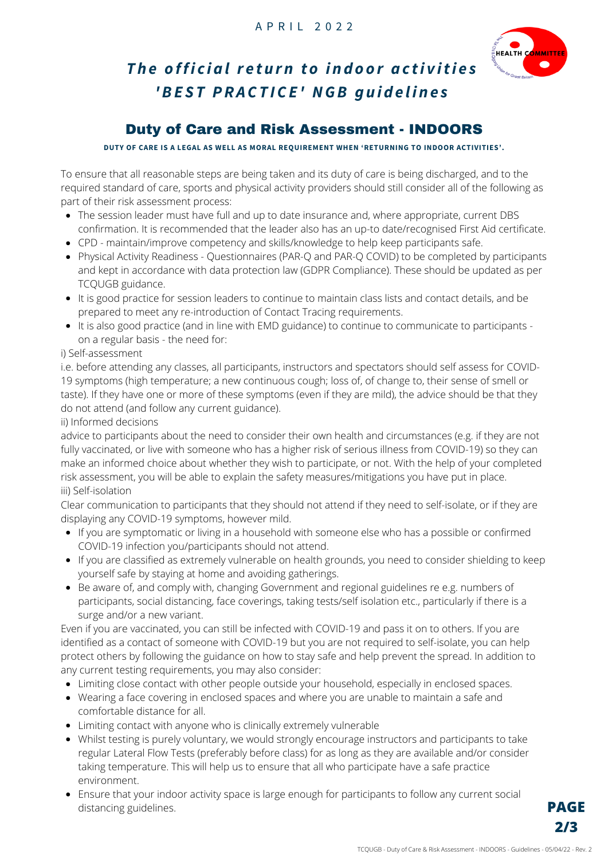

# The official return to indoor activities *'BE S T PRACT ICE ' NGB g u i d e l i n e s*

### Duty of Care and Risk Assessment - INDOORS

**DUTY OF CARE IS A LEGAL AS WELL AS MORAL REQUIREMENT WHEN 'RETURNING TO INDOOR ACTIVITIES'.**

To ensure that all reasonable steps are being taken and its duty of care is being discharged, and to the required standard of care, sports and physical activity providers should still consider all of the following as part of their risk assessment process:

- The session leader must have full and up to date insurance and, where appropriate, current DBS confirmation. It is recommended that the leader also has an up-to date/recognised First Aid certificate.
- CPD maintain/improve competency and skills/knowledge to help keep participants safe.
- Physical Activity Readiness Questionnaires (PAR-Q and PAR-Q COVID) to be completed by participants and kept in accordance with data protection law (GDPR Compliance). These should be updated as per TCQUGB guidance.
- It is good practice for session leaders to continue to maintain class lists and contact details, and be prepared to meet any re-introduction of Contact Tracing requirements.
- It is also good practice (and in line with EMD guidance) to continue to communicate to participants on a regular basis - the need for:

#### i) Self-assessment

i.e. before attending any classes, all participants, instructors and spectators should self assess for COVID-19 symptoms (high temperature; a new continuous cough; loss of, of change to, their sense of smell or taste). If they have one or more of these symptoms (even if they are mild), the advice should be that they do not attend (and follow any current guidance).

ii) Informed decisions

advice to participants about the need to consider their own health and circumstances (e.g. if they are not fully vaccinated, or live with someone who has a higher risk of serious illness from COVID-19) so they can make an informed choice about whether they wish to participate, or not. With the help of your completed risk assessment, you will be able to explain the safety measures/mitigations you have put in place. iii) Self-isolation

Clear communication to participants that they should not attend if they need to self-isolate, or if they are displaying any COVID-19 symptoms, however mild.

- If you are symptomatic or living in a household with someone else who has a possible or confirmed COVID-19 infection you/participants should not attend.
- If you are classified as extremely vulnerable on health grounds, you need to consider shielding to keep yourself safe by staying at home and avoiding gatherings.
- Be aware of, and comply with, changing Government and regional guidelines re e.g. numbers of participants, social distancing, face coverings, taking tests/self isolation etc., particularly if there is a surge and/or a new variant.

Even if you are vaccinated, you can still be infected with COVID-19 and pass it on to others. If you are identified as a contact of someone with COVID-19 but you are not required to self-isolate, you can help protect others by following the [guidance](https://www.gov.uk/guidance/covid-19-coronavirus-restrictions-what-you-can-and-cannot-do#keeping-yourself-and-others-safe) on how to stay safe and help prevent the spread. In addition to any current testing requirements, you may also consider:

- Limiting close contact with other people outside your household, especially in enclosed spaces.
- Wearing a face covering in enclosed spaces and where you are unable to maintain a safe and comfortable distance for all.
- Limiting contact with anyone who is clinically extremely vulnerable
- Whilst testing is purely voluntary, we would strongly encourage instructors and participants to take regular Lateral Flow Tests (preferably before class) for as long as they are available and/or consider taking temperature. This will help us to ensure that all who participate have a safe practice environment.
- Ensure that your indoor activity space is large enough for participants to follow any current social distancing guidelines.